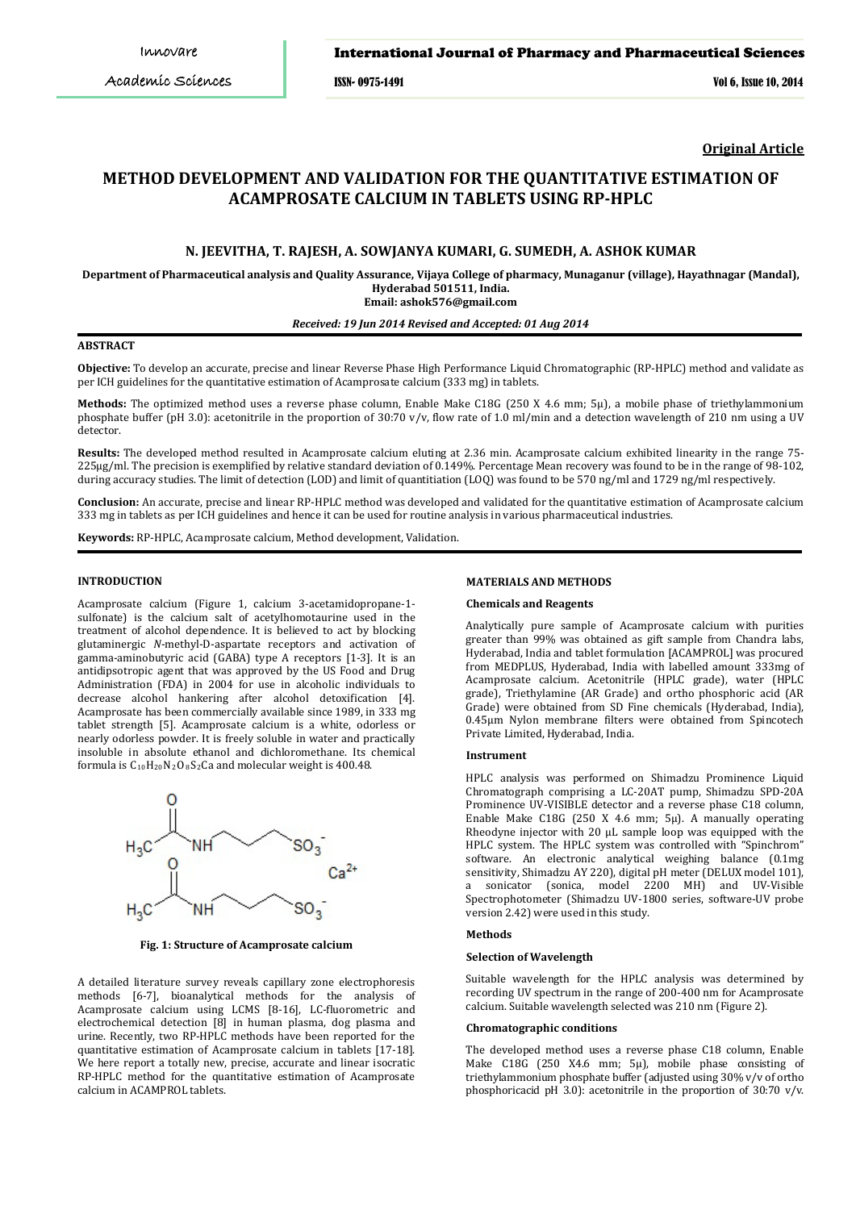ISSN- 0975-1491 Vol 6, Issue 10, 2014

**Original Article**

# **METHOD DEVELOPMENT AND VALIDATION FOR THE QUANTITATIVE ESTIMATION OF ACAMPROSATE CALCIUM IN TABLETS USING RP-HPLC**

# **N. JEEVITHA, T. RAJESH, A. SOWJANYA KUMARI, G. SUMEDH, A. ASHOK KUMAR**

**Department of Pharmaceutical analysis and Quality Assurance, Vijaya College of pharmacy, Munaganur (village), Hayathnagar (Mandal), Hyderabad 501511, India.**

**Email: ashok576@gmail.com**

# *Received: 19 Jun 2014 Revised and Accepted: 01 Aug 2014*

## **ABSTRACT**

**Objective:** To develop an accurate, precise and linear Reverse Phase High Performance Liquid Chromatographic (RP-HPLC) method and validate as per ICH guidelines for the quantitative estimation of Acamprosate calcium (333 mg) in tablets.

**Methods:** The optimized method uses a reverse phase column, Enable Make C18G (250 X 4.6 mm; 5μ), a mobile phase of triethylammonium phosphate buffer (pH 3.0): acetonitrile in the proportion of 30:70 v/v, flow rate of 1.0 ml/min and a detection wavelength of 210 nm using a UV detector.

**Results:** The developed method resulted in Acamprosate calcium eluting at 2.36 min. Acamprosate calcium exhibited linearity in the range 75- 225μg/ml. The precision is exemplified by relative standard deviation of 0.149%. Percentage Mean recovery was found to be in the range of 98-102, during accuracy studies. The limit of detection (LOD) and limit of quantitiation (LOQ) was found to be 570 ng/ml and 1729 ng/ml respectively.

**Conclusion:** An accurate, precise and linear RP-HPLC method was developed and validated for the quantitative estimation of Acamprosate calcium 333 mg in tablets as per ICH guidelines and hence it can be used for routine analysis in various pharmaceutical industries.

**Keywords:** RP-HPLC, Acamprosate calcium, Method development, Validation.

# **INTRODUCTION**

Acamprosate calcium (Figure 1, calcium 3-acetamidopropane-1 sulfonate) is the calcium salt of acetylhomotaurine used in the treatment of alcohol dependence. It is believed to act by blocking glutaminergic *N*-methyl-D-aspartate receptors and activation of gamma-aminobutyric acid (GABA) type A receptors [1-3]. It is an antidipsotropic agent that was approved by the US Food and Drug Administration (FDA) in 2004 for use in alcoholic individuals to decrease alcohol hankering after alcohol detoxification [4]. Acamprosate has been commercially available since 1989, in 333 mg tablet strength [5]. Acamprosate calcium is a white, odorless or nearly odorless powder. It is freely soluble in water and practically insoluble in absolute ethanol and dichloromethane. Its chemical formula is  $C_{10}H_{20}N_2O_8S_2C_4$  and molecular weight is 400.48.



**Fig. 1: Structure of Acamprosate calcium**

A detailed literature survey reveals capillary zone electrophoresis methods [6-7], bioanalytical methods for the analysis of Acamprosate calcium using LCMS [8-16], LC-fluorometric and electrochemical detection [8] in human plasma, dog plasma and urine. Recently, two RP-HPLC methods have been reported for the quantitative estimation of Acamprosate calcium in tablets [17-18]. We here report a totally new, precise, accurate and linear isocratic RP-HPLC method for the quantitative estimation of Acamprosate calcium in ACAMPROL tablets.

# **MATERIALS AND METHODS**

### **Chemicals and Reagents**

Analytically pure sample of Acamprosate calcium with purities greater than 99% was obtained as gift sample from Chandra labs, Hyderabad, India and tablet formulation [ACAMPROL] was procured from MEDPLUS, Hyderabad, India with labelled amount 333mg of Acamprosate calcium. Acetonitrile (HPLC grade), water (HPLC grade), Triethylamine (AR Grade) and ortho phosphoric acid (AR Grade) were obtained from SD Fine chemicals (Hyderabad, India), 0.45μm Nylon membrane filters were obtained from Spincotech Private Limited, Hyderabad, India.

### **Instrument**

HPLC analysis was performed on Shimadzu Prominence Liquid Chromatograph comprising a LC-20AT pump, Shimadzu SPD-20A Prominence UV-VISIBLE detector and a reverse phase C18 column, Enable Make C18G (250 X 4.6 mm; 5μ). A manually operating Rheodyne injector with 20 μL sample loop was equipped with the HPLC system. The HPLC system was controlled with "Spinchrom" software. An electronic analytical weighing balance (0.1mg) sensitivity, Shimadzu AY 220), digital pH meter (DELUX model 101), sonicator (sonica, model 2200 MH) and UV-Visible Spectrophotometer (Shimadzu UV-1800 series, software-UV probe version 2.42) were used in this study.

### **Methods**

# **Selection of Wavelength**

Suitable wavelength for the HPLC analysis was determined by recording UV spectrum in the range of 200-400 nm for Acamprosate calcium. Suitable wavelength selected was 210 nm (Figure 2).

# **Chromatographic conditions**

The developed method uses a reverse phase C18 column, Enable Make C18G (250 X4.6 mm; 5μ), mobile phase consisting of triethylammonium phosphate buffer (adjusted using 30% v/v of ortho phosphoricacid pH 3.0): acetonitrile in the proportion of 30:70 v/v.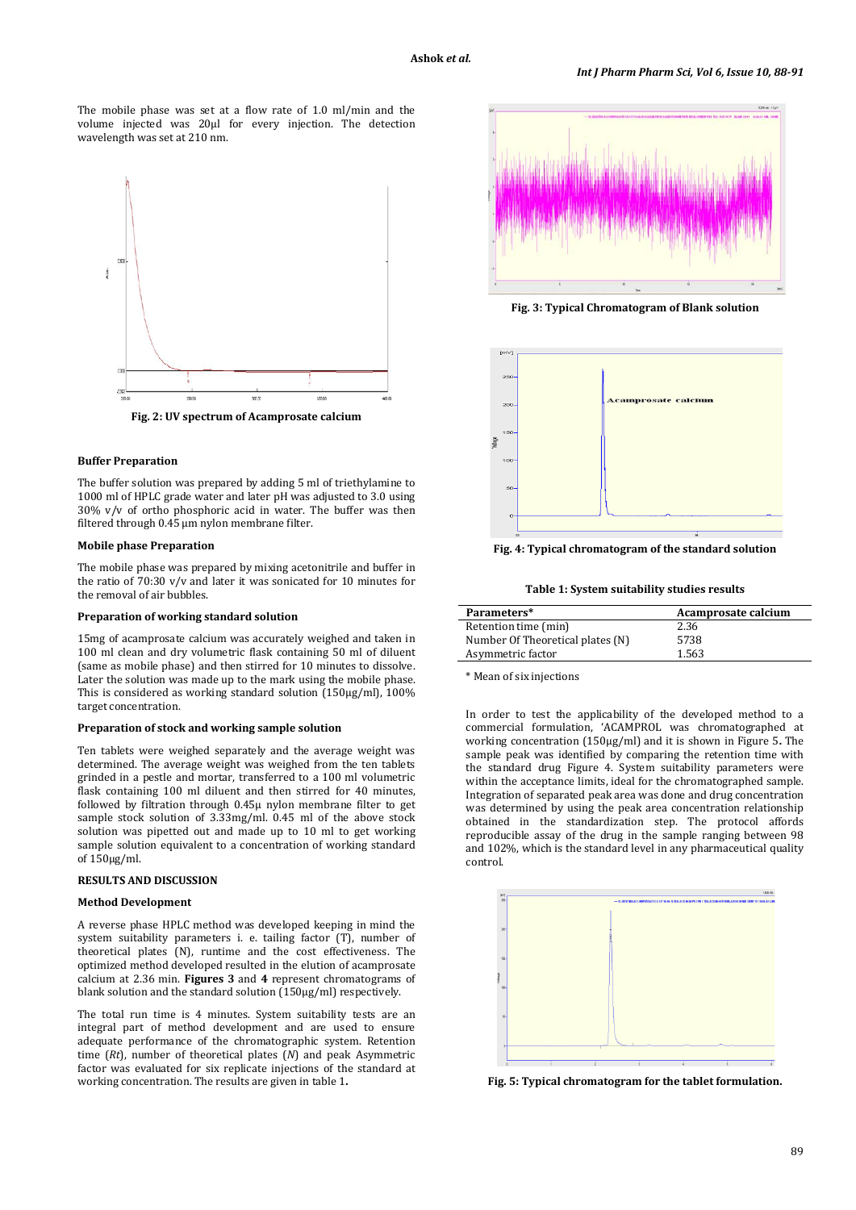The mobile phase was set at a flow rate of 1.0 ml/min and the volume injected was 20μl for every injection. The detection wavelength was set at 210 nm.



**Fig. 2: UV spectrum of Acamprosate calcium**

# **Buffer Preparation**

The buffer solution was prepared by adding 5 ml of triethylamine to 1000 ml of HPLC grade water and later pH was adjusted to 3.0 using 30% v/v of ortho phosphoric acid in water. The buffer was then filtered through 0.45 μm nylon membrane filter.

### **Mobile phase Preparation**

The mobile phase was prepared by mixing acetonitrile and buffer in the ratio of 70:30 v/v and later it was sonicated for 10 minutes for the removal of air bubbles.

#### **Preparation of working standard solution**

15mg of acamprosate calcium was accurately weighed and taken in 100 ml clean and dry volumetric flask containing 50 ml of diluent (same as mobile phase) and then stirred for 10 minutes to dissolve. Later the solution was made up to the mark using the mobile phase. This is considered as working standard solution (150µg/ml), 100% target concentration.

#### **Preparation of stock and working sample solution**

Ten tablets were weighed separately and the average weight was determined. The average weight was weighed from the ten tablets grinded in a pestle and mortar, transferred to a 100 ml volumetric flask containing 100 ml diluent and then stirred for 40 minutes, followed by filtration through 0.45µ nylon membrane filter to get sample stock solution of 3.33mg/ml. 0.45 ml of the above stock solution was pipetted out and made up to 10 ml to get working sample solution equivalent to a concentration of working standard of 150µg/ml.

# **RESULTS AND DISCUSSION**

### **Method Development**

A reverse phase HPLC method was developed keeping in mind the system suitability parameters i. e. tailing factor (T), number of theoretical plates (N), runtime and the cost effectiveness. The optimized method developed resulted in the elution of acamprosate calcium at 2.36 min. **Figures 3** and **4** represent chromatograms of blank solution and the standard solution (150µg/ml) respectively.

The total run time is 4 minutes. System suitability tests are an integral part of method development and are used to ensure adequate performance of the chromatographic system. Retention time (*Rt*), number of theoretical plates (*N*) and peak Asymmetric factor was evaluated for six replicate injections of the standard at working concentration. The results are given in table 1**.**



**Fig. 3: Typical Chromatogram of Blank solution**



**Fig. 4: Typical chromatogram of the standard solution**

**Table 1: System suitability studies results**

| Parameters*                      | Acamprosate calcium |  |  |
|----------------------------------|---------------------|--|--|
| Retention time (min)             | 2.36                |  |  |
| Number Of Theoretical plates (N) | 5738                |  |  |
| Asymmetric factor                | 1.563               |  |  |

\* Mean of six injections

In order to test the applicability of the developed method to a commercial formulation, 'ACAMPROL was chromatographed at working concentration (150µg/ml) and it is shown in Figure 5**.** The sample peak was identified by comparing the retention time with the standard drug Figure 4. System suitability parameters were within the acceptance limits, ideal for the chromatographed sample. Integration of separated peak area was done and drug concentration was determined by using the peak area concentration relationship obtained in the standardization step. The protocol affords reproducible assay of the drug in the sample ranging between 98 and 102%, which is the standard level in any pharmaceutical quality control.



**Fig. 5: Typical chromatogram for the tablet formulation.**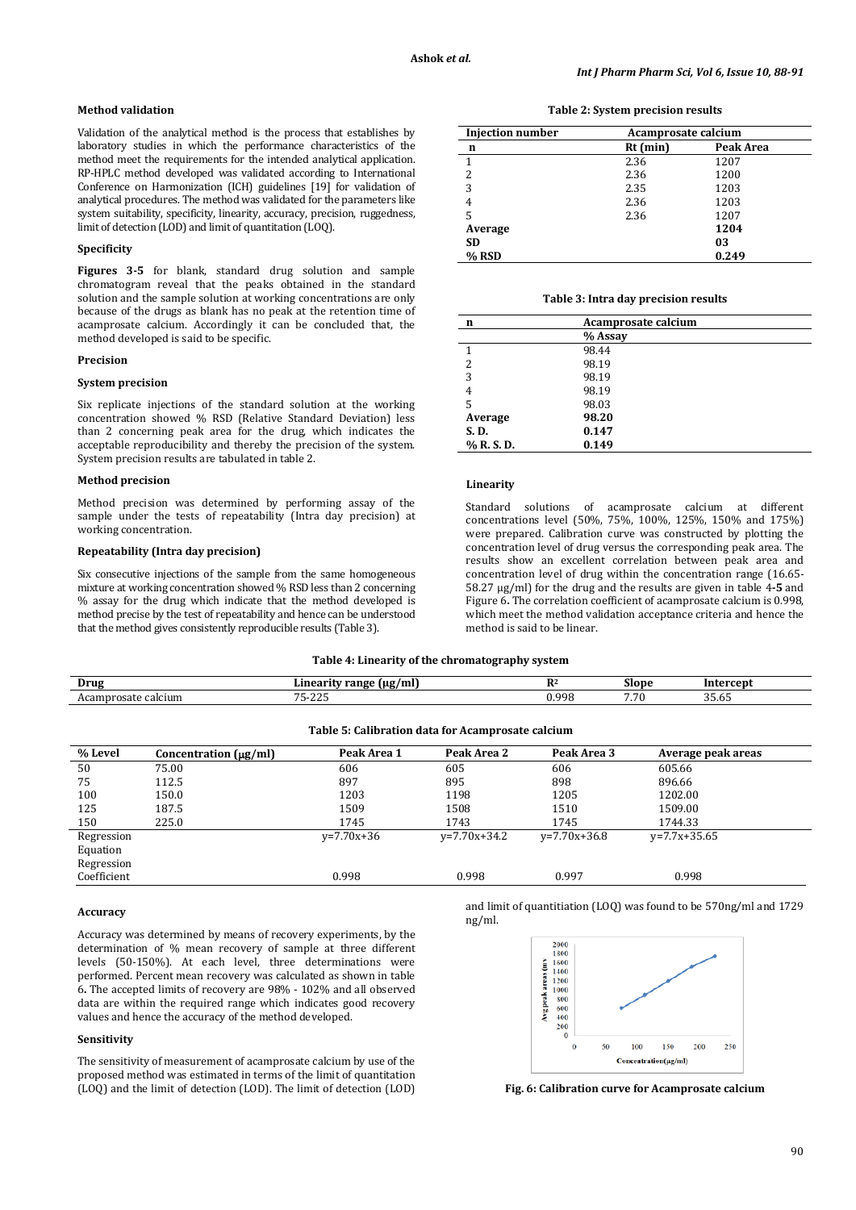# **Method validation**

Validation of the analytical method is the process that establishes by laboratory studies in which the performance characteristics of the method meet the requirements for the intended analytical application. RP-HPLC method developed was validated according to International Conference on Harmonization (ICH) guidelines [19] for validation of analytical procedures. The method was validated for the parameters like system suitability, specificity, linearity, accuracy, precision, ruggedness, limit of detection (LOD) and limit of quantitation (LOQ).

# **Specificity**

**Figures 3-5** for blank, standard drug solution and sample chromatogram reveal that the peaks obtained in the standard solution and the sample solution at working concentrations are only because of the drugs as blank has no peak at the retention time of acamprosate calcium. Accordingly it can be concluded that, the method developed is said to be specific.

### **Precision**

### **System precision**

Six replicate injections of the standard solution at the working concentration showed % RSD (Relative Standard Deviation) less than 2 concerning peak area for the drug, which indicates the acceptable reproducibility and thereby the precision of the system. System precision results are tabulated in table 2.

### **Method precision**

Method precision was determined by performing assay of the sample under the tests of repeatability (Intra day precision) at working concentration.

# **Repeatability (Intra day precision)**

Six consecutive injections of the sample from the same homogeneous mixture at working concentration showed % RSD less than 2 concerning % assay for the drug which indicate that the method developed is method precise by the test of repeatability and hence can be understood that the method gives consistently reproducible results (Table 3).

| Table 2: System precision results |  |  |
|-----------------------------------|--|--|
|-----------------------------------|--|--|

| <b>Injection number</b> | Acamprosate calcium |           |  |
|-------------------------|---------------------|-----------|--|
| n                       | $Rt$ (min)          | Peak Area |  |
| 1                       | 2.36                | 1207      |  |
| 2                       | 2.36                | 1200      |  |
| 3                       | 2.35                | 1203      |  |
| 4                       | 2.36                | 1203      |  |
| 5                       | 2.36                | 1207      |  |
| Average                 |                     | 1204      |  |
| <b>SD</b>               |                     | 03        |  |
| $%$ RSD                 |                     | 0.249     |  |

#### **Table 3: Intra day precision results**

| n          | Acamprosate calcium |  |
|------------|---------------------|--|
|            | % Assay             |  |
| 1          | 98.44               |  |
| 2          | 98.19               |  |
| 3          | 98.19               |  |
| 4          | 98.19               |  |
| 5          | 98.03               |  |
| Average    | 98.20               |  |
| S.D.       | 0.147               |  |
| % R. S. D. | 0.149               |  |

# **Linearity**

Standard solutions of acamprosate calcium at different concentrations level (50%, 75%, 100%, 125%, 150% and 175%) were prepared. Calibration curve was constructed by plotting the concentration level of drug versus the corresponding peak area. The results show an excellent correlation between peak area and concentration level of drug within the concentration range (16.65- 58.27 µg/ml) for the drug and the results are given in table 4**-5** and Figure 6**.** The correlation coefficient of acamprosate calcium is 0.998, which meet the method validation acceptance criteria and hence the method is said to be linear.

#### **Table 4: Linearity of the chromatography system**

| Drug            | (ug/ml<br>. ange<br>anea            | D <sub>2</sub> | ™one∴ | - - - - - -          |  |
|-----------------|-------------------------------------|----------------|-------|----------------------|--|
| Acam<br>alcium: | $\sim$ $\sim$<br>005<br>∼-<br>ں ہے۔ | 000<br>フロ      | $ -$  | $\sim$ $\sim$<br>- - |  |

|             |                            | Table 5: Calibration data for Acamprosate calcium |                |                |                    |  |
|-------------|----------------------------|---------------------------------------------------|----------------|----------------|--------------------|--|
| % Level     | Concentration $(\mu g/ml)$ | Peak Area 1                                       | Peak Area 2    | Peak Area 3    | Average peak areas |  |
| 50          | 75.00                      | 606                                               | 605            | 606            | 605.66             |  |
| 75          | 112.5                      | 897                                               | 895            | 898            | 896.66             |  |
| 100         | 150.0                      | 1203                                              | 1198           | 1205           | 1202.00            |  |
| 125         | 187.5                      | 1509                                              | 1508           | 1510           | 1509.00            |  |
| 150         | 225.0                      | 1745                                              | 1743           | 1745           | 1744.33            |  |
| Regression  |                            | $v=7.70x+36$                                      | $v=7.70x+34.2$ | $v=7.70x+36.8$ | $v=7.7x+35.65$     |  |
| Equation    |                            |                                                   |                |                |                    |  |
| Regression  |                            |                                                   |                |                |                    |  |
| Coefficient |                            | 0.998                                             | 0.998          | 0.997          | 0.998              |  |

### **Accuracy**

Accuracy was determined by means of recovery experiments, by the determination of % mean recovery of sample at three different levels (50-150%). At each level, three determinations were performed. Percent mean recovery was calculated as shown in table 6**.** The accepted limits of recovery are 98% - 102% and all observed data are within the required range which indicates good recovery values and hence the accuracy of the method developed.

#### **Sensitivity**

The sensitivity of measurement of acamprosate calcium by use of the proposed method was estimated in terms of the limit of quantitation (LOQ) and the limit of detection (LOD). The limit of detection (LOD) and limit of quantitiation (LOQ) was found to be 570ng/ml and 1729 ng/ml.



**Fig. 6: Calibration curve for Acamprosate calcium**